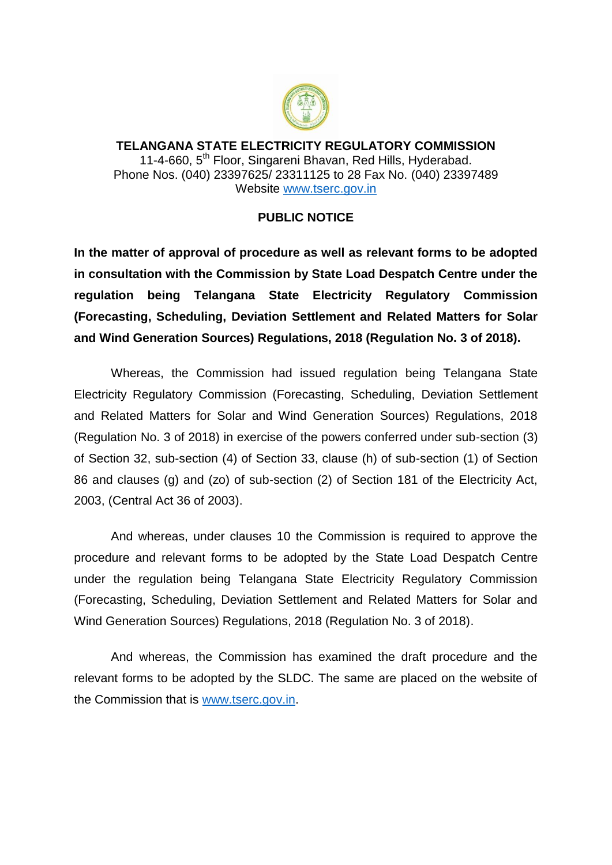

**TELANGANA STATE ELECTRICITY REGULATORY COMMISSION** 11-4-660, 5<sup>th</sup> Floor, Singareni Bhavan, Red Hills, Hyderabad. Phone Nos. (040) 23397625/ 23311125 to 28 Fax No. (040) 23397489 Website [www.tserc.gov.in](http://www.tserc.gov.in/)

## **PUBLIC NOTICE**

**In the matter of approval of procedure as well as relevant forms to be adopted in consultation with the Commission by State Load Despatch Centre under the regulation being Telangana State Electricity Regulatory Commission (Forecasting, Scheduling, Deviation Settlement and Related Matters for Solar and Wind Generation Sources) Regulations, 2018 (Regulation No. 3 of 2018).**

Whereas, the Commission had issued regulation being Telangana State Electricity Regulatory Commission (Forecasting, Scheduling, Deviation Settlement and Related Matters for Solar and Wind Generation Sources) Regulations, 2018 (Regulation No. 3 of 2018) in exercise of the powers conferred under sub-section (3) of Section 32, sub-section (4) of Section 33, clause (h) of sub-section (1) of Section 86 and clauses (g) and (zo) of sub-section (2) of Section 181 of the Electricity Act, 2003, (Central Act 36 of 2003).

And whereas, under clauses 10 the Commission is required to approve the procedure and relevant forms to be adopted by the State Load Despatch Centre under the regulation being Telangana State Electricity Regulatory Commission (Forecasting, Scheduling, Deviation Settlement and Related Matters for Solar and Wind Generation Sources) Regulations, 2018 (Regulation No. 3 of 2018).

And whereas, the Commission has examined the draft procedure and the relevant forms to be adopted by the SLDC. The same are placed on the website of the Commission that is [www.tserc.gov.in.](http://www.tserc.gov.in/)